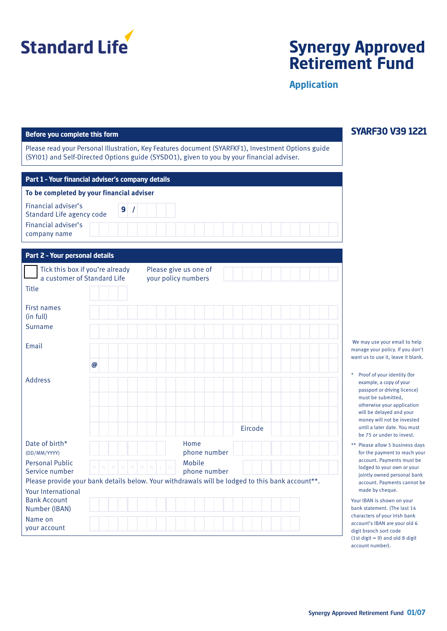

## **Synergy Approved Retirement Fund**

**Application**

#### **Before you complete this form**

Please read your Personal Illustration, Key Features document (SYARFKF1), Investment Options guide (SYI01) and Self-Directed Options guide (SYSDO1), given to you by your financial adviser.

| Part 1 - Your financial adviser's company details |   |  |  |  |  |  |  |  |  |  |
|---------------------------------------------------|---|--|--|--|--|--|--|--|--|--|
| To be completed by your financial adviser         |   |  |  |  |  |  |  |  |  |  |
| Financial adviser's<br>Standard Life agency code  | 9 |  |  |  |  |  |  |  |  |  |
| Financial adviser's<br>company name               |   |  |  |  |  |  |  |  |  |  |

| Part 2 - Your personal details                                    |                                 |                                                                                                 |  |
|-------------------------------------------------------------------|---------------------------------|-------------------------------------------------------------------------------------------------|--|
| a customer of Standard Life                                       | Tick this box if you're already | Please give us one of<br>your policy numbers                                                    |  |
| <b>Title</b>                                                      |                                 |                                                                                                 |  |
| <b>First names</b><br>(in full)                                   |                                 |                                                                                                 |  |
| <b>Surname</b>                                                    |                                 |                                                                                                 |  |
| Email                                                             |                                 |                                                                                                 |  |
|                                                                   | $\boldsymbol{\omega}$           |                                                                                                 |  |
| <b>Address</b>                                                    |                                 |                                                                                                 |  |
|                                                                   |                                 | Eircode                                                                                         |  |
| Date of birth*<br>(DD/MM/YYYY)                                    |                                 | Home<br>phone number                                                                            |  |
| <b>Personal Public</b><br>Service number                          | N N<br>N.<br>N<br>N             | Mobile<br>$N$ $N$<br>(L)<br>phone number                                                        |  |
|                                                                   |                                 | Please provide your bank details below. Your withdrawals will be lodged to this bank account**. |  |
| <b>Your International</b><br><b>Bank Account</b><br>Number (IBAN) |                                 |                                                                                                 |  |
| Name on<br>your account                                           |                                 |                                                                                                 |  |

**SYARF30 V39 1221**

 We may use your email to help manage your policy. If you don't want us to use it, leave it blank.

- \* Proof of your identity (for example, a copy of your passport or driving licence) must be submitted, otherwise your application will be delayed and your money will not be invested until a later date. You must be 75 or under to invest.
- \*\* Please allow 5 business days for the payment to reach your account. Payments must be lodged to your own or your jointly owned personal bank account. Payments cannot be made by cheque.

Your IBAN is shown on your bank statement. (The last 14 characters of your Irish bank account's IBAN are your old 6 digit branch sort code (1st digit  $= 9$ ) and old 8 digit account number).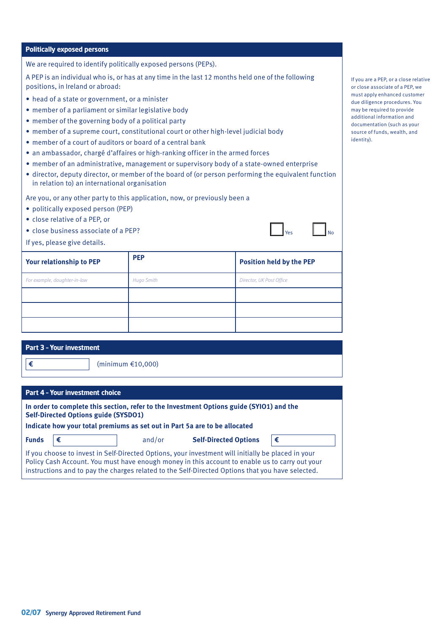#### **Politically exposed persons**

We are required to identify politically exposed persons (PEPs).

A PEP is an individual who is, or has at any time in the last 12 months held one of the following positions, in Ireland or abroad:

- head of a state or government, or a minister
- member of a parliament or similar legislative body
- member of the governing body of a political party
- member of a supreme court, constitutional court or other high-level judicial body
- member of a court of auditors or board of a central bank
- an ambassador, chargé d'affaires or high-ranking officer in the armed forces
- member of an administrative, management or supervisory body of a state-owned enterprise
- director, deputy director, or member of the board of (or person performing the equivalent function in relation to) an international organisation

Are you, or any other party to this application, now, or previously been a

- politically exposed person (PEP)
- close relative of a PEP, or
- close business associate of a PEP?

If yes, please give details.

| Your relationship to PEP     | <b>PEP</b>        | <b>Position held by the PEP</b> |
|------------------------------|-------------------|---------------------------------|
| For example, daughter-in-law | <b>Hugo Smith</b> | Director, UK Post Office        |
|                              |                   |                                 |
|                              |                   |                                 |
|                              |                   |                                 |

| Part 3 - Your investment |
|--------------------------|
|                          |

**€** (minimum €10,000)

| Part 4 - Your investment choice                                                                                                                                                                                       |                                                                                                                                                                                                                                                                                                          |                                             |  |  |  |  |  |  |  |  |  |
|-----------------------------------------------------------------------------------------------------------------------------------------------------------------------------------------------------------------------|----------------------------------------------------------------------------------------------------------------------------------------------------------------------------------------------------------------------------------------------------------------------------------------------------------|---------------------------------------------|--|--|--|--|--|--|--|--|--|
| In order to complete this section, refer to the Investment Options guide (SYIO1) and the<br><b>Self-Directed Options guide (SYSDO1)</b><br>Indicate how your total premiums as set out in Part 5a are to be allocated |                                                                                                                                                                                                                                                                                                          |                                             |  |  |  |  |  |  |  |  |  |
| <b>Funds</b>                                                                                                                                                                                                          | €                                                                                                                                                                                                                                                                                                        | <b>Self-Directed Options</b><br>€<br>and/or |  |  |  |  |  |  |  |  |  |
|                                                                                                                                                                                                                       | If you choose to invest in Self-Directed Options, your investment will initially be placed in your<br>Policy Cash Account. You must have enough money in this account to enable us to carry out your<br>instructions and to pay the charges related to the Self-Directed Options that you have selected. |                                             |  |  |  |  |  |  |  |  |  |

If you are a PEP, or a close relative or close associate of a PEP, we must apply enhanced customer due diligence procedures. You may be required to provide additional information and documentation (such as your source of funds, wealth, and identity).

 $N<sub>o</sub>$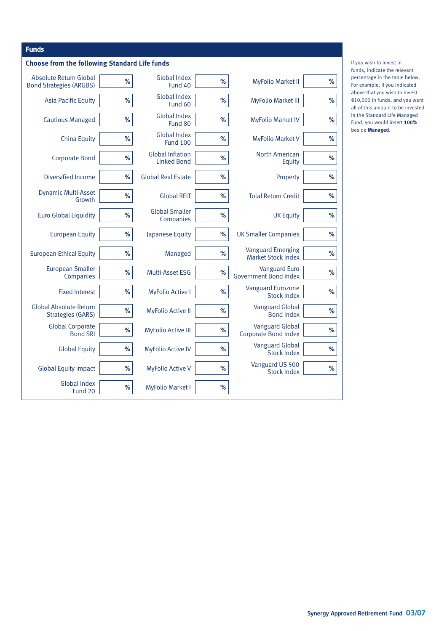| <b>Funds</b>                                              |      |                                               |      |                                                       |      |
|-----------------------------------------------------------|------|-----------------------------------------------|------|-------------------------------------------------------|------|
| <b>Choose from the following Standard Life funds</b>      |      |                                               |      |                                                       |      |
| Absolute Return Global<br><b>Bond Strategies (ARGBS)</b>  | %    | <b>Global Index</b><br>Fund 40                | %    | <b>MyFolio Market II</b>                              | $\%$ |
| <b>Asia Pacific Equity</b>                                | %    | <b>Global Index</b><br>Fund 60                | %    | <b>MyFolio Market III</b>                             | %    |
| <b>Cautious Managed</b>                                   | %    | <b>Global Index</b><br>Fund 80                | %    | <b>MyFolio Market IV</b>                              | $\%$ |
| <b>China Equity</b>                                       | %    | <b>Global Index</b><br><b>Fund 100</b>        | %    | <b>MyFolio Market V</b>                               | $\%$ |
| <b>Corporate Bond</b>                                     | %    | <b>Global Inflation</b><br><b>Linked Bond</b> | %    | <b>North American</b><br>Equity                       | $\%$ |
| Diversified Income                                        | %    | <b>Global Real Estate</b>                     | %    | Property                                              | $\%$ |
| <b>Dynamic Multi-Asset</b><br>Growth                      | %    | <b>Global REIT</b>                            | %    | <b>Total Return Credit</b>                            | $\%$ |
| <b>Euro Global Liquidity</b>                              | %    | <b>Global Smaller</b><br>Companies            | %    | <b>UK Equity</b>                                      | $\%$ |
| <b>European Equity</b>                                    | %    | Japanese Equity                               | %    | <b>UK Smaller Companies</b>                           | %    |
| <b>European Ethical Equity</b>                            | %    | Managed                                       | $\%$ | <b>Vanguard Emerging</b><br><b>Market Stock Index</b> | %    |
| <b>European Smaller</b><br>Companies                      | %    | Multi-Asset ESG                               | $\%$ | <b>Vanguard Euro</b><br><b>Government Bond Index</b>  | %    |
| <b>Fixed Interest</b>                                     | $\%$ | <b>MyFolio Active I</b>                       | %    | <b>Vanguard Eurozone</b><br><b>Stock Index</b>        | %    |
| <b>Global Absolute Return</b><br><b>Strategies (GARS)</b> | %    | <b>MyFolio Active II</b>                      | %    | <b>Vanguard Global</b><br><b>Bond Index</b>           | $\%$ |
| <b>Global Corporate</b><br><b>Bond SRI</b>                | %    | <b>MyFolio Active III</b>                     | $\%$ | <b>Vanguard Global</b><br>Corporate Bond Index        | %    |
| <b>Global Equity</b>                                      | %    | <b>MyFolio Active IV</b>                      | %    | <b>Vanguard Global</b><br><b>Stock Index</b>          | $\%$ |
| <b>Global Equity Impact</b>                               | %    | <b>MyFolio Active V</b>                       | %    | Vanguard US 500<br><b>Stock Index</b>                 | $\%$ |
| <b>Global Index</b><br>Fund 20                            | %    | <b>MyFolio Market I</b>                       | %    |                                                       |      |

If you wish to invest in funds, indicate the relevant percentage in the table below. For example, if you indicated above that you wish to invest €10,000 in funds, and you want all of this amount to be invested in the Standard Life Managed Fund, you would insert **100%** beside **Managed**.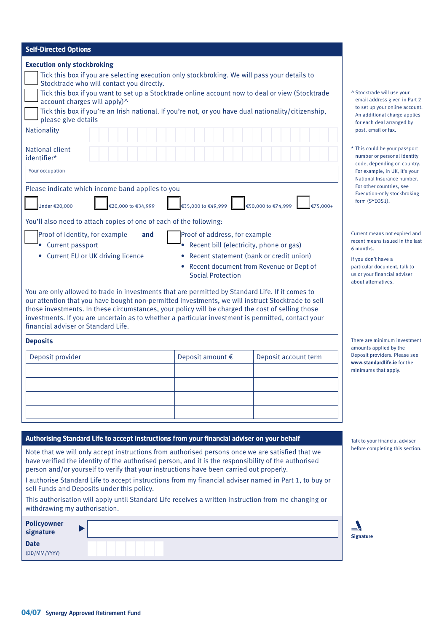| <b>Self-Directed Options</b>                                                                                                                                                                                                                                                                                                                                                                                                                                                                                                                                                                       |  |  |  |  |  |  |  |  |  |
|----------------------------------------------------------------------------------------------------------------------------------------------------------------------------------------------------------------------------------------------------------------------------------------------------------------------------------------------------------------------------------------------------------------------------------------------------------------------------------------------------------------------------------------------------------------------------------------------------|--|--|--|--|--|--|--|--|--|
| <b>Execution only stockbroking</b><br>Tick this box if you are selecting execution only stockbroking. We will pass your details to<br>Stocktrade who will contact you directly.<br>Tick this box if you want to set up a Stocktrade online account now to deal or view (Stocktrade<br>account charges will apply)^<br>Tick this box if you're an Irish national. If you're not, or you have dual nationality/citizenship,<br>please give details<br>Nationality<br>National client                                                                                                                 |  |  |  |  |  |  |  |  |  |
| identifier*                                                                                                                                                                                                                                                                                                                                                                                                                                                                                                                                                                                        |  |  |  |  |  |  |  |  |  |
| Your occupation                                                                                                                                                                                                                                                                                                                                                                                                                                                                                                                                                                                    |  |  |  |  |  |  |  |  |  |
| Please indicate which income band applies to you<br>€20,000 to €34,999<br>€50,000 to €74,999<br>Under €20,000<br>€35,000 to €49,999<br>€75.000+<br>You'll also need to attach copies of one of each of the following:<br>Proof of address, for example<br>Proof of identity, for example<br>and<br>Recent bill (electricity, phone or gas)<br>Current passport<br>Recent statement (bank or credit union)<br>• Current EU or UK driving licence<br>$\bullet$<br>Recent document from Revenue or Dept of                                                                                            |  |  |  |  |  |  |  |  |  |
| <b>Social Protection</b><br>You are only allowed to trade in investments that are permitted by Standard Life. If it comes to<br>our attention that you have bought non-permitted investments, we will instruct Stocktrade to sell<br>those investments. In these circumstances, your policy will be charged the cost of selling those<br>investments. If you are uncertain as to whether a particular investment is permitted, contact your<br>financial adviser or Standard Life.                                                                                                                 |  |  |  |  |  |  |  |  |  |
| <b>Deposits</b>                                                                                                                                                                                                                                                                                                                                                                                                                                                                                                                                                                                    |  |  |  |  |  |  |  |  |  |
| Deposit provider<br>Deposit amount €<br>Deposit account term                                                                                                                                                                                                                                                                                                                                                                                                                                                                                                                                       |  |  |  |  |  |  |  |  |  |
|                                                                                                                                                                                                                                                                                                                                                                                                                                                                                                                                                                                                    |  |  |  |  |  |  |  |  |  |
|                                                                                                                                                                                                                                                                                                                                                                                                                                                                                                                                                                                                    |  |  |  |  |  |  |  |  |  |
| Authorising Standard Life to accept instructions from your financial adviser on your behalf                                                                                                                                                                                                                                                                                                                                                                                                                                                                                                        |  |  |  |  |  |  |  |  |  |
| Note that we will only accept instructions from authorised persons once we are satisfied that we<br>have verified the identity of the authorised person, and it is the responsibility of the authorised<br>person and/or yourself to verify that your instructions have been carried out properly.<br>I authorise Standard Life to accept instructions from my financial adviser named in Part 1, to buy or<br>sell Funds and Deposits under this policy.<br>This authorisation will apply until Standard Life receives a written instruction from me changing or<br>withdrawing my authorisation. |  |  |  |  |  |  |  |  |  |

| <b>Policyowner</b><br>signature | $\Rightarrow$<br>Sign |
|---------------------------------|-----------------------|
| <b>Date</b><br>(DD/MM/YYYY)     |                       |

| ^ Stocktrade will use your     |
|--------------------------------|
| email address given in Part 2  |
| to set up your online account. |
| An additional charge applies   |
| for each deal arranged by      |
| post, email or fax.            |

\* This could be your passport number or personal identity code, depending on country. For example, in UK, it's your National Insurance number. For other countries, see Execution-only stockbroking form (SYEOS1).

Current means not expired and recent means issued in the last 6 months.

If you don't have a particular document, talk to us or your financial adviser about alternatives.

There are minimum investment amounts applied by the Deposit providers. Please see **www.standardlife.ie** for the minimums that apply.

Talk to your financial adviser before completing this section.

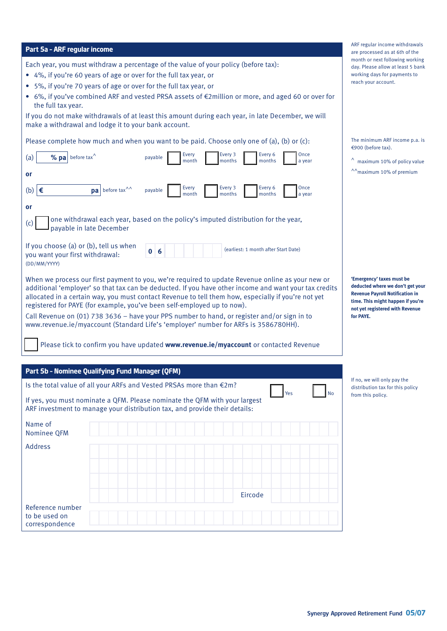| Part 5a - ARF regular income                                                                                                                                                                                                                                                                                                                                                                                                                                                                                                                                                                                                                                                                                                                                                                                                                                                                                                                              | ARF regular income withdrawals<br>are processed as at 6th of the                                                                                                                             |
|-----------------------------------------------------------------------------------------------------------------------------------------------------------------------------------------------------------------------------------------------------------------------------------------------------------------------------------------------------------------------------------------------------------------------------------------------------------------------------------------------------------------------------------------------------------------------------------------------------------------------------------------------------------------------------------------------------------------------------------------------------------------------------------------------------------------------------------------------------------------------------------------------------------------------------------------------------------|----------------------------------------------------------------------------------------------------------------------------------------------------------------------------------------------|
| Each year, you must withdraw a percentage of the value of your policy (before tax):<br>4%, if you're 60 years of age or over for the full tax year, or<br>5%, if you're 70 years of age or over for the full tax year, or<br>$\bullet$<br>6%, if you've combined ARF and vested PRSA assets of €2million or more, and aged 60 or over for<br>the full tax year.<br>If you do not make withdrawals of at least this amount during each year, in late December, we will<br>make a withdrawal and lodge it to your bank account.                                                                                                                                                                                                                                                                                                                                                                                                                             | month or next following working<br>day. Please allow at least 5 bank<br>working days for payments to<br>reach your account.                                                                  |
| Please complete how much and when you want to be paid. Choose only one of (a), (b) or (c):<br><b>Every</b><br>Every 3<br>Every 6<br>Once<br>% $\mathbf{pa}$ before tax <sup>^</sup><br>(a)<br>payable<br>month<br>months<br>months<br>a year<br>or<br>Every 3<br><b>Every</b><br>Every 6<br>Once<br>∣€<br>(b)<br>$\mathbf{pa}$ before tax <sup>^^</sup><br>payable<br>months<br>month<br>months<br>a year<br>or                                                                                                                                                                                                                                                                                                                                                                                                                                                                                                                                           | The minimum ARF income p.a. is<br>€900 (before tax).<br>$^{\wedge}$ maximum 10% of policy value<br><sup>1</sup> <sup>1</sup> maximum 10% of premium                                          |
| one withdrawal each year, based on the policy's imputed distribution for the year,<br>(c)<br>payable in late December<br>If you choose (a) or (b), tell us when<br>(earliest: 1 month after Start Date)<br>$\bf{0}$<br>6<br>you want your first withdrawal:<br>(DD/MM/YYYY)<br>When we process our first payment to you, we're required to update Revenue online as your new or<br>additional 'employer' so that tax can be deducted. If you have other income and want your tax credits<br>allocated in a certain way, you must contact Revenue to tell them how, especially if you're not yet<br>registered for PAYE (for example, you've been self-employed up to now).<br>Call Revenue on (01) 738 3636 - have your PPS number to hand, or register and/or sign in to<br>www.revenue.ie/myaccount (Standard Life's 'employer' number for ARFs is 3586780HH).<br>Please tick to confirm you have updated www.revenue.ie/myaccount or contacted Revenue | 'Emergency' taxes must be<br>deducted where we don't get your<br><b>Revenue Payroll Notification in</b><br>time. This might happen if you're<br>not yet registered with Revenue<br>for PAYE. |
| Part 5b - Nominee Qualifying Fund Manager (QFM)<br>Is the total value of all your ARFs and Vested PRSAs more than €2m?<br>Yes<br><b>No</b><br>If yes, you must nominate a QFM. Please nominate the QFM with your largest<br>ARF investment to manage your distribution tax, and provide their details:<br>Name of<br>Nominee QFM<br><b>Address</b>                                                                                                                                                                                                                                                                                                                                                                                                                                                                                                                                                                                                        | If no, we will only pay the<br>distribution tax for this policy<br>from this policy.                                                                                                         |
| Eircode<br>Reference number<br>to be used on<br>correspondence                                                                                                                                                                                                                                                                                                                                                                                                                                                                                                                                                                                                                                                                                                                                                                                                                                                                                            |                                                                                                                                                                                              |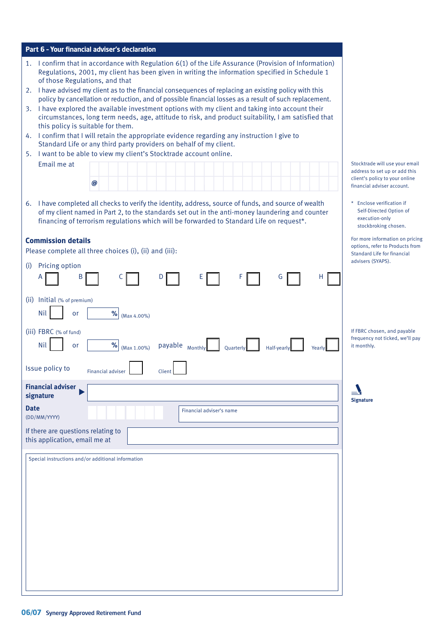| Part 6 - Your financial adviser's declaration                                                                                                                                                                                                                                                        |                                                                                                   |
|------------------------------------------------------------------------------------------------------------------------------------------------------------------------------------------------------------------------------------------------------------------------------------------------------|---------------------------------------------------------------------------------------------------|
| I confirm that in accordance with Regulation 6(1) of the Life Assurance (Provision of Information)<br>1.<br>Regulations, 2001, my client has been given in writing the information specified in Schedule 1<br>of those Regulations, and that                                                         |                                                                                                   |
| I have advised my client as to the financial consequences of replacing an existing policy with this<br>2.<br>policy by cancellation or reduction, and of possible financial losses as a result of such replacement.                                                                                  |                                                                                                   |
| I have explored the available investment options with my client and taking into account their<br>3.<br>circumstances, long term needs, age, attitude to risk, and product suitability, I am satisfied that<br>this policy is suitable for them.                                                      |                                                                                                   |
| I confirm that I will retain the appropriate evidence regarding any instruction I give to<br>4.<br>Standard Life or any third party providers on behalf of my client.                                                                                                                                |                                                                                                   |
| 5. I want to be able to view my client's Stocktrade account online.                                                                                                                                                                                                                                  |                                                                                                   |
| Email me at                                                                                                                                                                                                                                                                                          | Stocktrade will use your email<br>address to set up or add this                                   |
| @                                                                                                                                                                                                                                                                                                    | client's policy to your online<br>financial adviser account.                                      |
| 6. I have completed all checks to verify the identity, address, source of funds, and source of wealth<br>of my client named in Part 2, to the standards set out in the anti-money laundering and counter<br>financing of terrorism regulations which will be forwarded to Standard Life on request*. | Enclose verification if<br>Self-Directed Option of<br>execution-only<br>stockbroking chosen.      |
| <b>Commission details</b><br>Please complete all three choices (i), (ii) and (iii):                                                                                                                                                                                                                  | For more information on pricing<br>options, refer to Products from<br>Standard Life for financial |
| Pricing option<br>(i)<br>B<br>D<br>E<br>G<br>н                                                                                                                                                                                                                                                       | advisers (SYAPS).                                                                                 |
|                                                                                                                                                                                                                                                                                                      |                                                                                                   |
| Initial (% of premium)<br>(ii)<br><b>Nil</b><br>℅<br>or<br>(Max 4.00%)                                                                                                                                                                                                                               |                                                                                                   |
| (iii) FBRC (% of fund)<br><b>Nil</b><br>%<br>or<br>payable Monthly<br>(Max 1.00%)<br>Quarterly<br>Half-yearl                                                                                                                                                                                         | If FBRC chosen, and payable<br>frequency not ticked, we'll pay<br>it monthly.                     |
| Issue policy to<br><b>Financial adviser</b><br>Clien                                                                                                                                                                                                                                                 |                                                                                                   |
| <b>Financial adviser</b><br>signature                                                                                                                                                                                                                                                                | <b>Signature</b>                                                                                  |
| <b>Date</b><br>Financial adviser's name<br>(DD/MM/YYYY)                                                                                                                                                                                                                                              |                                                                                                   |
| If there are questions relating to<br>this application, email me at                                                                                                                                                                                                                                  |                                                                                                   |
| Special instructions and/or additional information                                                                                                                                                                                                                                                   |                                                                                                   |
|                                                                                                                                                                                                                                                                                                      |                                                                                                   |
|                                                                                                                                                                                                                                                                                                      |                                                                                                   |
|                                                                                                                                                                                                                                                                                                      |                                                                                                   |
|                                                                                                                                                                                                                                                                                                      |                                                                                                   |
|                                                                                                                                                                                                                                                                                                      |                                                                                                   |
|                                                                                                                                                                                                                                                                                                      |                                                                                                   |
|                                                                                                                                                                                                                                                                                                      |                                                                                                   |
|                                                                                                                                                                                                                                                                                                      |                                                                                                   |
|                                                                                                                                                                                                                                                                                                      |                                                                                                   |
|                                                                                                                                                                                                                                                                                                      |                                                                                                   |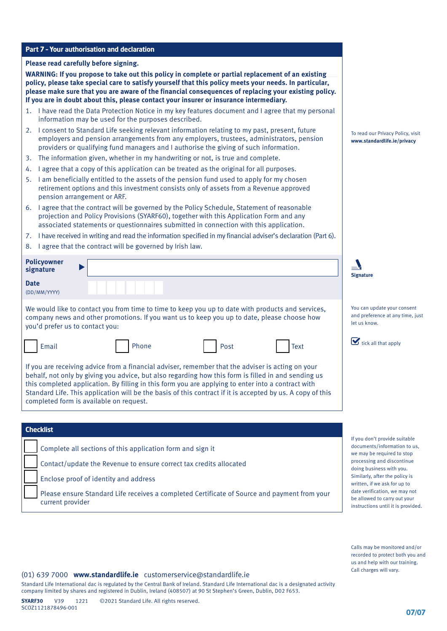#### **Part 7 – Your authorisation and declaration**

#### **Please read carefully before signing.**

**WARNING: If you propose to take out this policy in complete or partial replacement of an existing policy, please take special care to satisfy yourself that this policy meets your needs. In particular, please make sure that you are aware of the financial consequences of replacing your existing policy. If you are in doubt about this, please contact your insurer or insurance intermediary.**

- 1. I have read the Data Protection Notice in my key features document and I agree that my personal information may be used for the purposes described.
- 2. I consent to Standard Life seeking relevant information relating to my past, present, future employers and pension arrangements from any employers, trustees, administrators, pension providers or qualifying fund managers and I authorise the giving of such information.
- 3. The information given, whether in my handwriting or not, is true and complete.
- 4. I agree that a copy of this application can be treated as the original for all purposes.
- 5. I am beneficially entitled to the assets of the pension fund used to apply for my chosen retirement options and this investment consists only of assets from a Revenue approved pension arrangement or ARF.
- 6. I agree that the contract will be governed by the Policy Schedule, Statement of reasonable projection and Policy Provisions (SYARF60), together with this Application Form and any associated statements or questionnaires submitted in connection with this application.
- 7. I have received in writing and read the information specified in my financial adviser's declaration (Part 6).
- 8. I agree that the contract will be governed by Irish law.

| <b>Policyowner</b><br>signature |  |  |  |  |  |                                     |  | $=$<br><b>Signature</b> |  |
|---------------------------------|--|--|--|--|--|-------------------------------------|--|-------------------------|--|
| <b>Date</b><br>(DD/MM/YYYY)     |  |  |  |  |  |                                     |  |                         |  |
| .                               |  |  |  |  |  | the contract of the contract of the |  | $\sim$                  |  |

We would like to contact you from time to time to keep you up to date with products and services, company news and other promotions. If you want us to keep you up to date, please choose how you'd prefer us to contact you:





If you are receiving advice from a financial adviser, remember that the adviser is acting on your behalf, not only by giving you advice, but also regarding how this form is filled in and sending us this completed application. By filling in this form you are applying to enter into a contract with Standard Life. This application will be the basis of this contract if it is accepted by us. A copy of this completed form is available on request.

## **Checklist**

Complete all sections of this application form and sign it

Contact/update the Revenue to ensure correct tax credits allocated

Enclose proof of identity and address

Please ensure Standard Life receives a completed Certificate of Source and payment from your current provider

To read our Privacy Policy, visit **www.standardlife.ie/privacy**

You can update your consent and preference at any time, just let us know.



If you don't provide suitable documents/information to us, we may be required to stop processing and discontinue doing business with you. Similarly, after the policy is written, if we ask for up to date verification, we may not be allowed to carry out your instructions until it is provided.

Calls may be monitored and/or recorded to protect both you and us and help with our training. Call charges will vary.

#### (01) 639 7000 **www.standardlife.ie** customerservice@standardlife.ie

Standard Life International dac is regulated by the Central Bank of Ireland. Standard Life International dac is a designated activity company limited by shares and registered in Dublin, Ireland (408507) at 90 St Stephen's Green, Dublin, D02 F653.